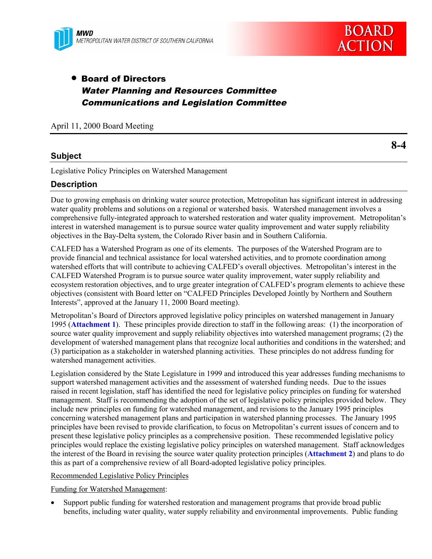

## • Board of Directors Water Planning and Resources Committee Communications and Legislation Committee

April 11, 2000 Board Meeting

**8-4**

## **Subject**

Legislative Policy Principles on Watershed Management

### **Description**

Due to growing emphasis on drinking water source protection, Metropolitan has significant interest in addressing water quality problems and solutions on a regional or watershed basis. Watershed management involves a comprehensive fully-integrated approach to watershed restoration and water quality improvement. Metropolitan's interest in watershed management is to pursue source water quality improvement and water supply reliability objectives in the Bay-Delta system, the Colorado River basin and in Southern California.

CALFED has a Watershed Program as one of its elements. The purposes of the Watershed Program are to provide financial and technical assistance for local watershed activities, and to promote coordination among watershed efforts that will contribute to achieving CALFED's overall objectives. Metropolitan's interest in the CALFED Watershed Program is to pursue source water quality improvement, water supply reliability and ecosystem restoration objectives, and to urge greater integration of CALFED's program elements to achieve these objectives (consistent with Board letter on "CALFED Principles Developed Jointly by Northern and Southern Interests", approved at the January 11, 2000 Board meeting).

Metropolitan's Board of Directors approved legislative policy principles on watershed management in January 1995 (**Attachment 1**). These principles provide direction to staff in the following areas: (1) the incorporation of source water quality improvement and supply reliability objectives into watershed management programs; (2) the development of watershed management plans that recognize local authorities and conditions in the watershed; and (3) participation as a stakeholder in watershed planning activities. These principles do not address funding for watershed management activities.

Legislation considered by the State Legislature in 1999 and introduced this year addresses funding mechanisms to support watershed management activities and the assessment of watershed funding needs. Due to the issues raised in recent legislation, staff has identified the need for legislative policy principles on funding for watershed management. Staff is recommending the adoption of the set of legislative policy principles provided below. They include new principles on funding for watershed management, and revisions to the January 1995 principles concerning watershed management plans and participation in watershed planning processes. The January 1995 principles have been revised to provide clarification, to focus on Metropolitan's current issues of concern and to present these legislative policy principles as a comprehensive position. These recommended legislative policy principles would replace the existing legislative policy principles on watershed management. Staff acknowledges the interest of the Board in revising the source water quality protection principles (**Attachment 2**) and plans to do this as part of a comprehensive review of all Board-adopted legislative policy principles.

Recommended Legislative Policy Principles

Funding for Watershed Management:

• Support public funding for watershed restoration and management programs that provide broad public benefits, including water quality, water supply reliability and environmental improvements. Public funding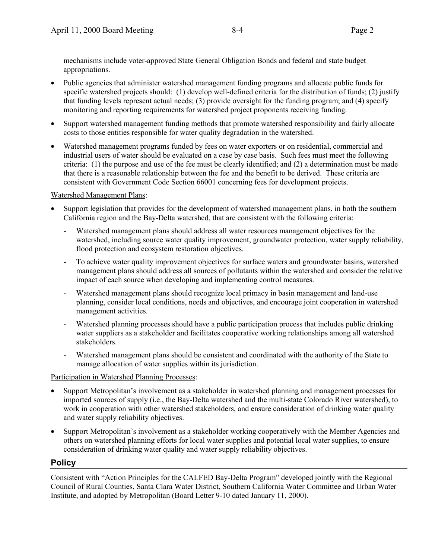mechanisms include voter-approved State General Obligation Bonds and federal and state budget appropriations.

- Public agencies that administer watershed management funding programs and allocate public funds for specific watershed projects should: (1) develop well-defined criteria for the distribution of funds; (2) justify that funding levels represent actual needs; (3) provide oversight for the funding program; and (4) specify monitoring and reporting requirements for watershed project proponents receiving funding.
- Support watershed management funding methods that promote watershed responsibility and fairly allocate costs to those entities responsible for water quality degradation in the watershed.
- Watershed management programs funded by fees on water exporters or on residential, commercial and industrial users of water should be evaluated on a case by case basis. Such fees must meet the following criteria: (1) the purpose and use of the fee must be clearly identified; and (2) a determination must be made that there is a reasonable relationship between the fee and the benefit to be derived. These criteria are consistent with Government Code Section 66001 concerning fees for development projects.

## Watershed Management Plans:

- Support legislation that provides for the development of watershed management plans, in both the southern California region and the Bay-Delta watershed, that are consistent with the following criteria:
	- Watershed management plans should address all water resources management objectives for the watershed, including source water quality improvement, groundwater protection, water supply reliability, flood protection and ecosystem restoration objectives.
	- To achieve water quality improvement objectives for surface waters and groundwater basins, watershed management plans should address all sources of pollutants within the watershed and consider the relative impact of each source when developing and implementing control measures.
	- Watershed management plans should recognize local primacy in basin management and land-use planning, consider local conditions, needs and objectives, and encourage joint cooperation in watershed management activities.
	- Watershed planning processes should have a public participation process that includes public drinking water suppliers as a stakeholder and facilitates cooperative working relationships among all watershed stakeholders.
	- Watershed management plans should be consistent and coordinated with the authority of the State to manage allocation of water supplies within its jurisdiction.

## Participation in Watershed Planning Processes:

- Support Metropolitan's involvement as a stakeholder in watershed planning and management processes for imported sources of supply (i.e., the Bay-Delta watershed and the multi-state Colorado River watershed), to work in cooperation with other watershed stakeholders, and ensure consideration of drinking water quality and water supply reliability objectives.
- Support Metropolitan's involvement as a stakeholder working cooperatively with the Member Agencies and others on watershed planning efforts for local water supplies and potential local water supplies, to ensure consideration of drinking water quality and water supply reliability objectives.

## **Policy**

Consistent with "Action Principles for the CALFED Bay-Delta Program" developed jointly with the Regional Council of Rural Counties, Santa Clara Water District, Southern California Water Committee and Urban Water Institute, and adopted by Metropolitan (Board Letter 9-10 dated January 11, 2000).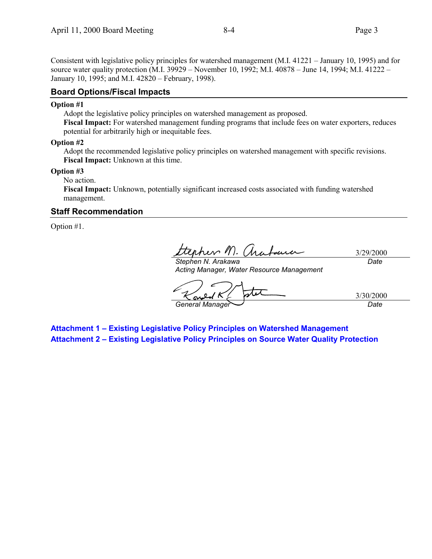Consistent with legislative policy principles for watershed management (M.I. 41221 – January 10, 1995) and for source water quality protection (M.I. 39929 – November 10, 1992; M.I. 40878 – June 14, 1994; M.I. 41222 – January 10, 1995; and M.I. 42820 – February, 1998).

#### **Board Options/Fiscal Impacts**

#### **Option #1**

Adopt the legislative policy principles on watershed management as proposed.

**Fiscal Impact:** For watershed management funding programs that include fees on water exporters, reduces potential for arbitrarily high or inequitable fees.

#### **Option #2**

Adopt the recommended legislative policy principles on watershed management with specific revisions. **Fiscal Impact:** Unknown at this time.

#### **Option #3**

No action.

**Fiscal Impact:** Unknown, potentially significant increased costs associated with funding watershed management.

#### **Staff Recommendation**

Option #1.

3/29/2000

*Stephen N. Arakawa Acting Manager, Water Resource Management*

*Date*

3/30/2000 *General Manager Date*

**Attachment 1 – Existing Legislative Policy Principles on Watershed Management Attachment 2 – Existing Legislative Policy Principles on Source Water Quality Protection**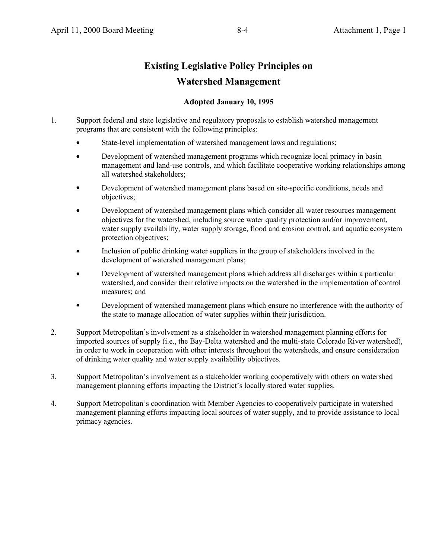## **Existing Legislative Policy Principles on Watershed Management**

### **Adopted January 10, 1995**

- 1. Support federal and state legislative and regulatory proposals to establish watershed management programs that are consistent with the following principles:
	- State-level implementation of watershed management laws and regulations;
	- Development of watershed management programs which recognize local primacy in basin management and land-use controls, and which facilitate cooperative working relationships among all watershed stakeholders;
	- Development of watershed management plans based on site-specific conditions, needs and objectives;
	- Development of watershed management plans which consider all water resources management objectives for the watershed, including source water quality protection and/or improvement, water supply availability, water supply storage, flood and erosion control, and aquatic ecosystem protection objectives;
	- Inclusion of public drinking water suppliers in the group of stakeholders involved in the development of watershed management plans;
	- Development of watershed management plans which address all discharges within a particular watershed, and consider their relative impacts on the watershed in the implementation of control measures; and
	- Development of watershed management plans which ensure no interference with the authority of the state to manage allocation of water supplies within their jurisdiction.
- 2. Support Metropolitan's involvement as a stakeholder in watershed management planning efforts for imported sources of supply (i.e., the Bay-Delta watershed and the multi-state Colorado River watershed), in order to work in cooperation with other interests throughout the watersheds, and ensure consideration of drinking water quality and water supply availability objectives.
- 3. Support Metropolitan's involvement as a stakeholder working cooperatively with others on watershed management planning efforts impacting the District's locally stored water supplies.
- 4. Support Metropolitan's coordination with Member Agencies to cooperatively participate in watershed management planning efforts impacting local sources of water supply, and to provide assistance to local primacy agencies.